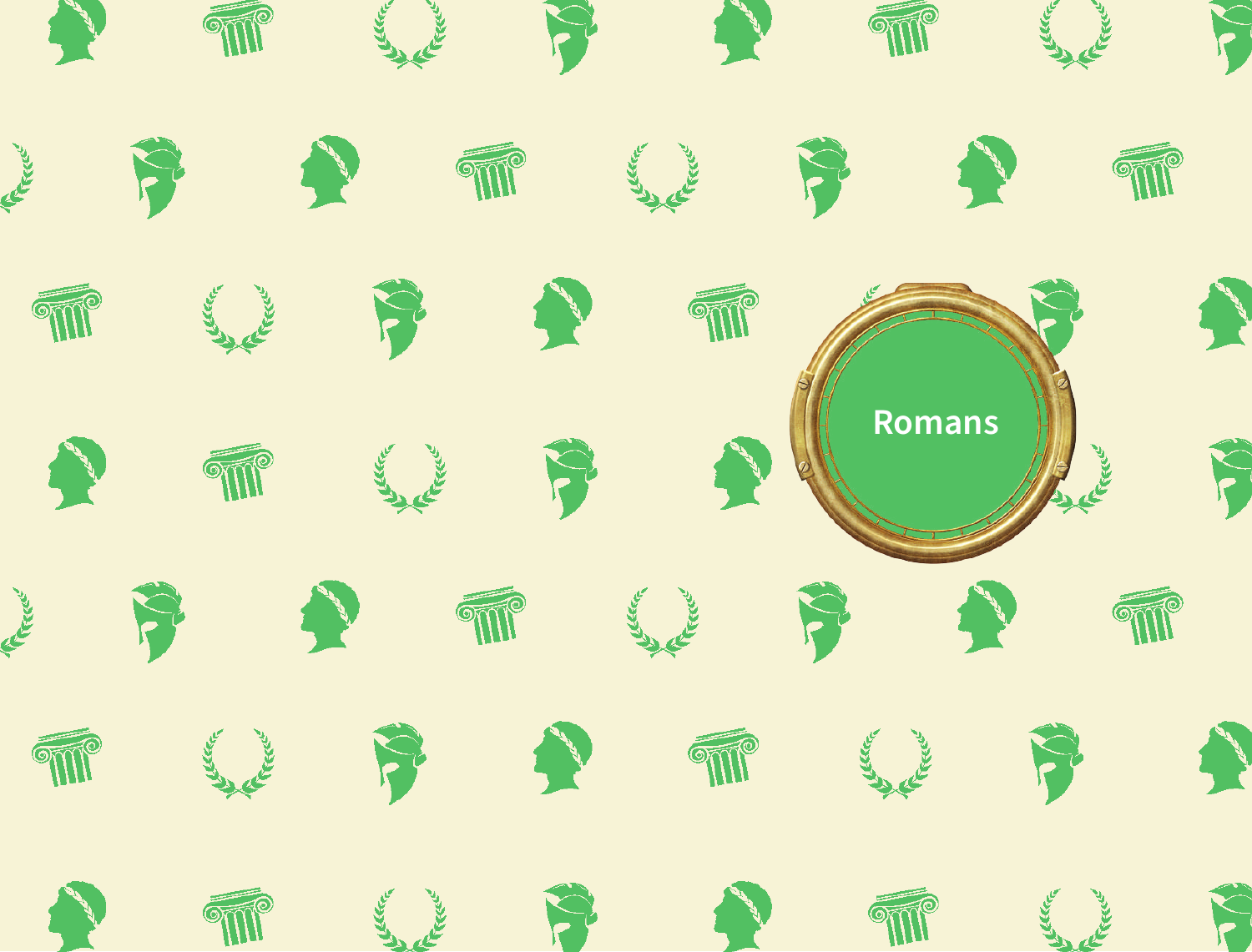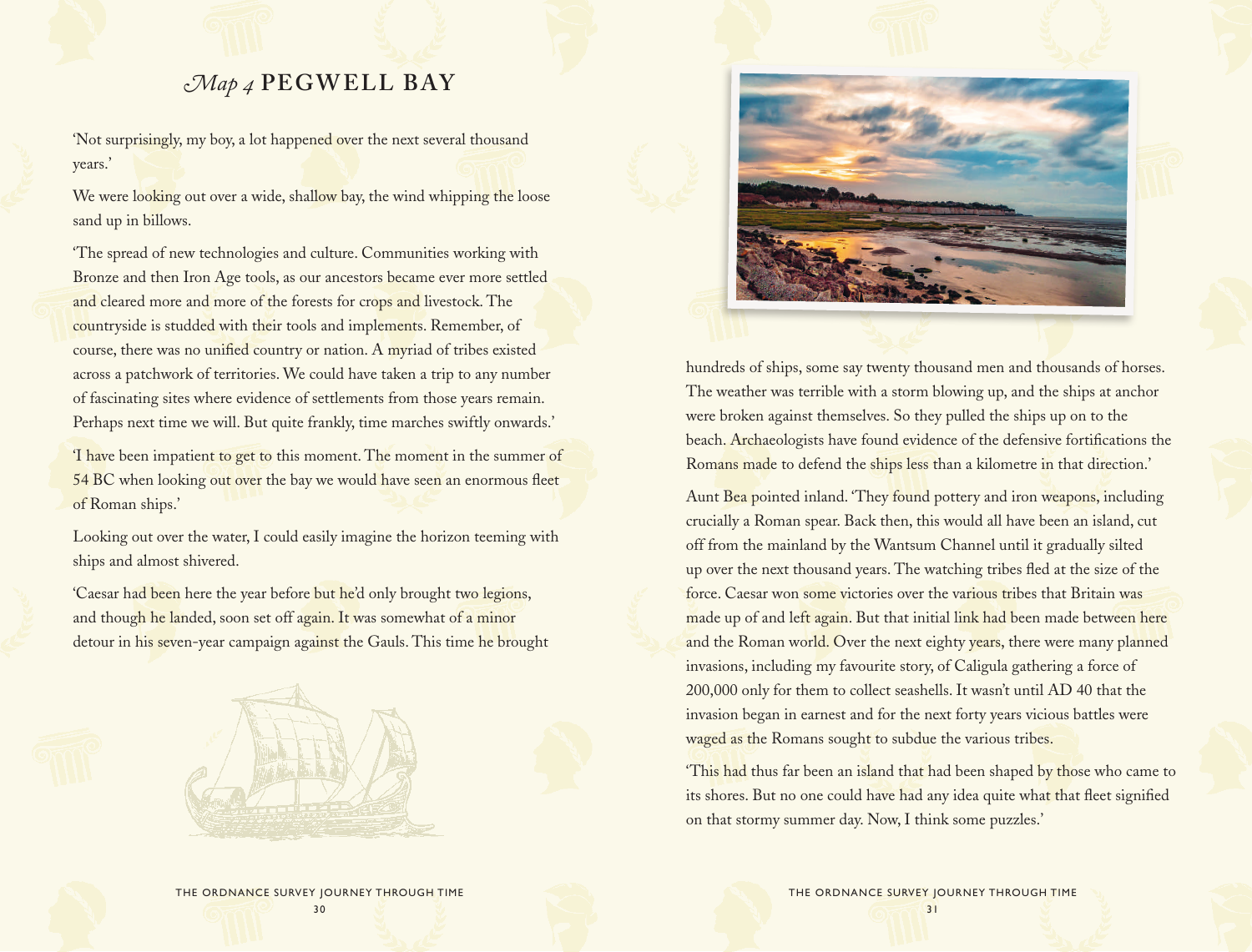# *Map 4* **PEGWELL BAY**

'Not surprisingly, my boy, a lot happened over the next several thousand years.'

We were looking out over a wide, shallow bay, the wind whipping the loose sand up in billows.

'The spread of new technologies and culture. Communities working with Bronze and then Iron Age tools, as our ancestors became ever more settled and cleared more and more of the forests for crops and livestock. The countryside is studded with their tools and implements. Remember, of course, there was no unified country or nation. A myriad of tribes existed across a patchwork of territories. We could have taken a trip to any number of fascinating sites where evidence of settlements from those years remain. Perhaps next time we will. But quite frankly, time marches swiftly onwards.'

'I have been impatient to get to this moment. The moment in the summer of 54 BC when looking out over the bay we would have seen an enormous fleet of Roman ships.'

Looking out over the water, I could easily imagine the horizon teeming with ships and almost shivered.

'Caesar had been here the year before but he'd only brought two legions, and though he landed, soon set off again. It was somewhat of a minor detour in his seven-year campaign against the Gauls. This time he brought





hundreds of ships, some say twenty thousand men and thousands of horses. The weather was terrible with a storm blowing up, and the ships at anchor were broken against themselves. So they pulled the ships up on to the beach. Archaeologists have found evidence of the defensive fortifications the Romans made to defend the ships less than a kilometre in that direction.'

Aunt Bea pointed inland. 'They found pottery and iron weapons, including crucially a Roman spear. Back then, this would all have been an island, cut off from the mainland by the Wantsum Channel until it gradually silted up over the next thousand years. The watching tribes fled at the size of the force. Caesar won some victories over the various tribes that Britain was made up of and left again. But that initial link had been made between here and the Roman world. Over the next eighty years, there were many planned invasions, including my favourite story, of Caligula gathering a force of 200,000 only for them to collect seashells. It wasn't until AD 40 that the invasion began in earnest and for the next forty years vicious battles were waged as the Romans sought to subdue the various tribes.

This had thus far been an island that had been shaped by those who came to its shores. But no one could have had any idea quite what that fleet signified on that stormy summer day. Now, I think some puzzles.'

THE ORDNANCE SURVEY JOURNEY THROUGH TIME 31